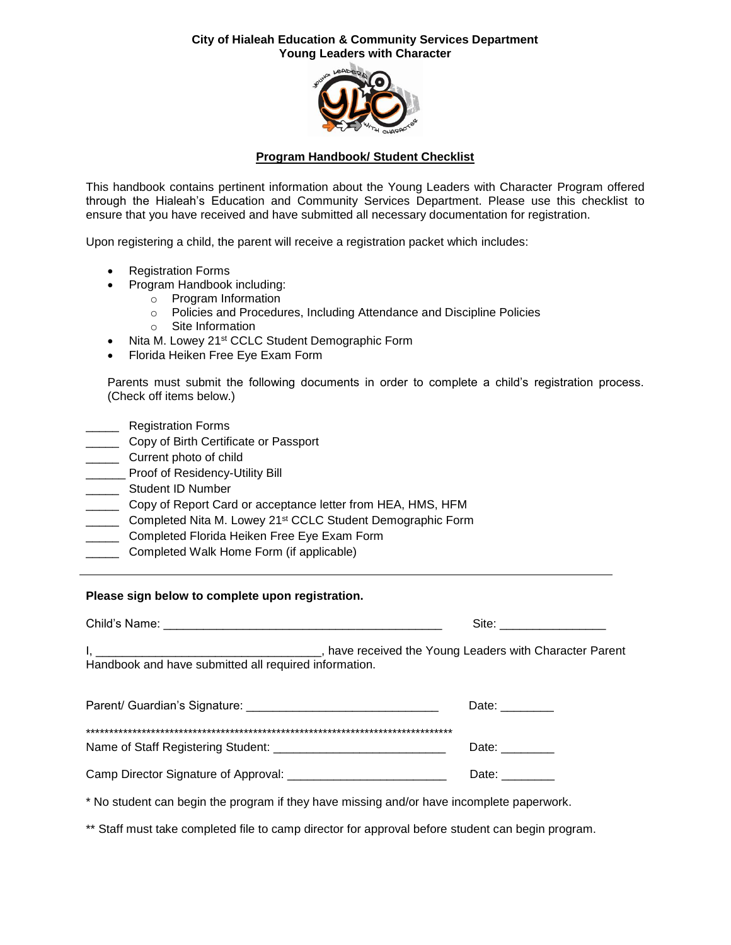#### **City of Hialeah Education & Community Services Department Young Leaders with Character**



#### **Program Handbook/ Student Checklist**

This handbook contains pertinent information about the Young Leaders with Character Program offered through the Hialeah's Education and Community Services Department. Please use this checklist to ensure that you have received and have submitted all necessary documentation for registration.

Upon registering a child, the parent will receive a registration packet which includes:

- Registration Forms
- Program Handbook including:
	- o Program Information
	- o Policies and Procedures, Including Attendance and Discipline Policies
	- o Site Information
- Nita M. Lowey 21<sup>st</sup> CCLC Student Demographic Form
- Florida Heiken Free Eye Exam Form

Parents must submit the following documents in order to complete a child's registration process. (Check off items below.)

- \_\_\_\_\_ Registration Forms
- **Copy of Birth Certificate or Passport**
- **LETT** Current photo of child
- \_\_\_\_\_\_ Proof of Residency-Utility Bill
- \_\_\_\_\_\_ Student ID Number
- \_\_\_\_\_ Copy of Report Card or acceptance letter from HEA, HMS, HFM
- **Completed Nita M. Lowey 21st CCLC Student Demographic Form**
- \_\_\_\_ Completed Florida Heiken Free Eye Exam Form
- \_\_\_\_\_ Completed Walk Home Form (if applicable)

#### **Please sign below to complete upon registration.**

| Child's Name:                                         | Site:                                                 |
|-------------------------------------------------------|-------------------------------------------------------|
| Handbook and have submitted all required information. | have received the Young Leaders with Character Parent |

| Parent/ Guardian's Signature:        | Date: |
|--------------------------------------|-------|
|                                      |       |
| Name of Staff Registering Student:   | Date: |
| Camp Director Signature of Approval: | Date: |

\* No student can begin the program if they have missing and/or have incomplete paperwork.

\*\* Staff must take completed file to camp director for approval before student can begin program.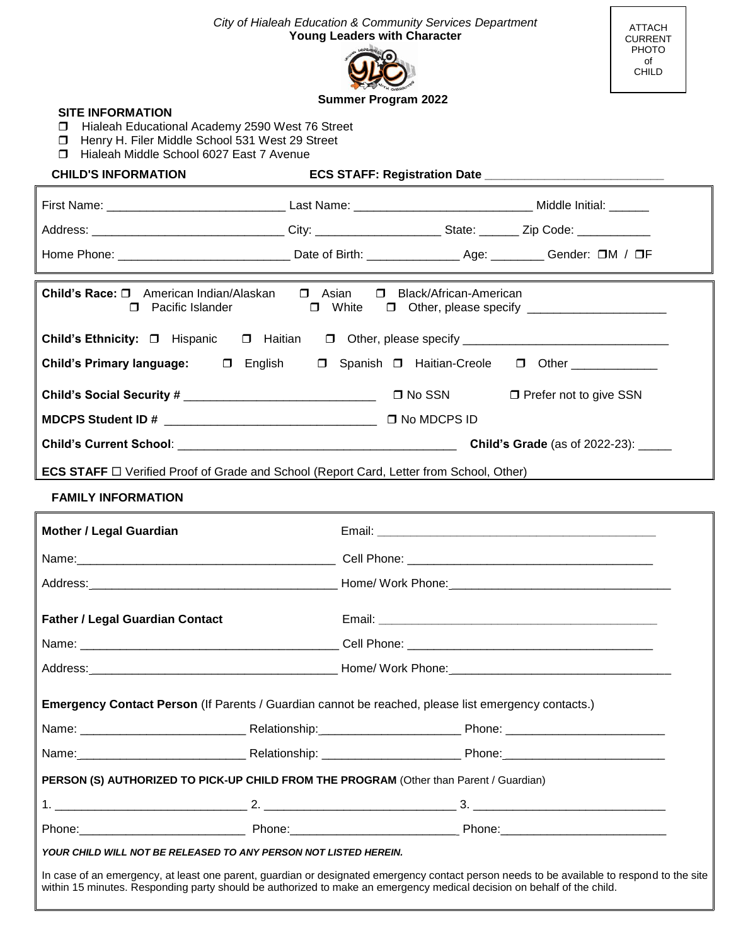| City of Hialeah Education & Community Services Department<br><b>ATTACH</b><br><b>Young Leaders with Character</b><br>CURRENT<br>PHOTO<br>of<br><b>CHILD</b>                |                            |  |                          |  |
|----------------------------------------------------------------------------------------------------------------------------------------------------------------------------|----------------------------|--|--------------------------|--|
|                                                                                                                                                                            |                            |  |                          |  |
| <b>SITE INFORMATION</b>                                                                                                                                                    | <b>Summer Program 2022</b> |  |                          |  |
| Hialeah Educational Academy 2590 West 76 Street<br>П<br>Henry H. Filer Middle School 531 West 29 Street<br>□                                                               |                            |  |                          |  |
| Hialeah Middle School 6027 East 7 Avenue<br>⊓                                                                                                                              |                            |  |                          |  |
| <b>CHILD'S INFORMATION</b>                                                                                                                                                 |                            |  |                          |  |
|                                                                                                                                                                            |                            |  |                          |  |
|                                                                                                                                                                            |                            |  |                          |  |
| Home Phone: ___________________________________Date of Birth: ______________________________Gender: OM / OF                                                                |                            |  |                          |  |
| Child's Race: □ American Indian/Alaskan<br>$\square$ Asian<br>□ Black/African-American<br>□ Pacific Islander □ Uhite □ Other, please specify _____________________________ |                            |  |                          |  |
| Child's Ethnicity: □ Hispanic □ Haitian □ Other, please specify ___________________________________                                                                        |                            |  |                          |  |
| Child's Primary language: □ English □ Spanish □ Haitian-Creole □ Other __________                                                                                          |                            |  |                          |  |
|                                                                                                                                                                            |                            |  | □ Prefer not to give SSN |  |
|                                                                                                                                                                            |                            |  |                          |  |
|                                                                                                                                                                            |                            |  |                          |  |
| <b>ECS STAFF</b> □ Verified Proof of Grade and School (Report Card, Letter from School, Other)                                                                             |                            |  |                          |  |
| <b>FAMILY INFORMATION</b>                                                                                                                                                  |                            |  |                          |  |
|                                                                                                                                                                            |                            |  |                          |  |
| <b>Mother / Legal Guardian</b>                                                                                                                                             |                            |  |                          |  |
| Name:                                                                                                                                                                      |                            |  |                          |  |
|                                                                                                                                                                            |                            |  |                          |  |
| <b>Father / Legal Guardian Contact</b>                                                                                                                                     |                            |  |                          |  |
|                                                                                                                                                                            |                            |  |                          |  |
|                                                                                                                                                                            |                            |  |                          |  |
| Emergency Contact Person (If Parents / Guardian cannot be reached, please list emergency contacts.)                                                                        |                            |  |                          |  |
|                                                                                                                                                                            |                            |  |                          |  |
|                                                                                                                                                                            |                            |  |                          |  |
| PERSON (S) AUTHORIZED TO PICK-UP CHILD FROM THE PROGRAM (Other than Parent / Guardian)                                                                                     |                            |  |                          |  |
|                                                                                                                                                                            |                            |  |                          |  |
|                                                                                                                                                                            |                            |  |                          |  |
| YOUR CHILD WILL NOT BE RELEASED TO ANY PERSON NOT LISTED HEREIN.                                                                                                           |                            |  |                          |  |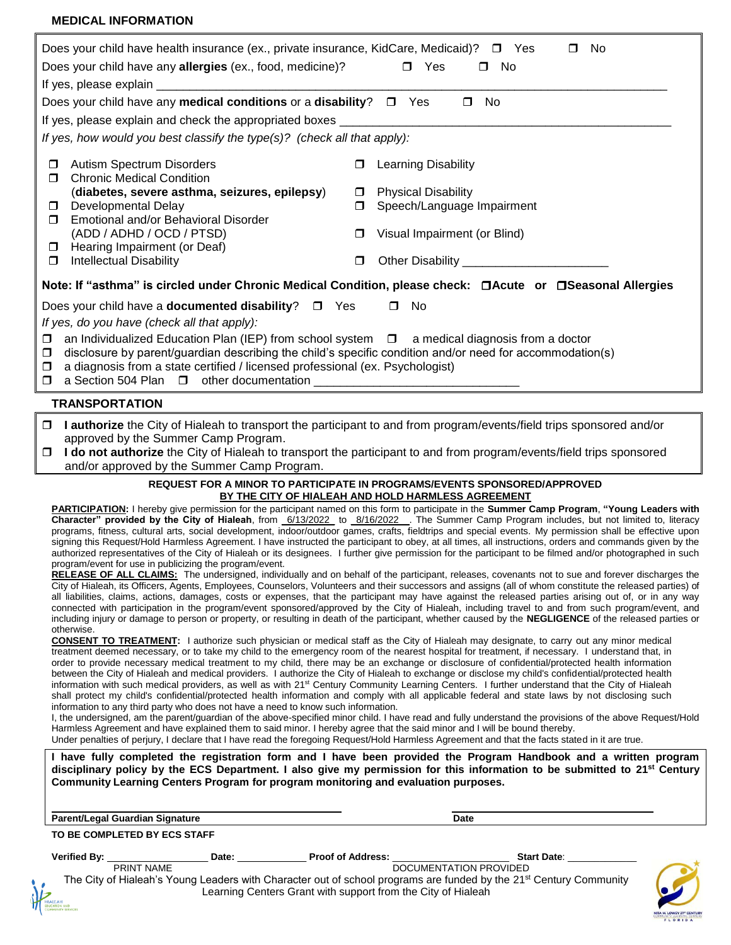#### **MEDICAL INFORMATION**

|                                                                                                                                                                                                                                                                                                                               | Does your child have health insurance (ex., private insurance, KidCare, Medicaid)? $\square$ Yes<br>Does your child have any allergies (ex., food, medicine)?<br>Does your child have any <b>medical conditions</b> or a <b>disability</b> ? $\square$ Yes |        | No<br>П.<br>$\square$ No<br>$\Box$ Yes<br>$\square$ No                                                                      |  |
|-------------------------------------------------------------------------------------------------------------------------------------------------------------------------------------------------------------------------------------------------------------------------------------------------------------------------------|------------------------------------------------------------------------------------------------------------------------------------------------------------------------------------------------------------------------------------------------------------|--------|-----------------------------------------------------------------------------------------------------------------------------|--|
|                                                                                                                                                                                                                                                                                                                               | If yes, please explain and check the appropriated boxes <b>container and all propriate and check</b> the appropriated boxes                                                                                                                                |        |                                                                                                                             |  |
|                                                                                                                                                                                                                                                                                                                               | If yes, how would you best classify the type(s)? (check all that apply):                                                                                                                                                                                   |        |                                                                                                                             |  |
| $\Box$<br>$\Box$                                                                                                                                                                                                                                                                                                              | Autism Spectrum Disorders<br><b>Chronic Medical Condition</b>                                                                                                                                                                                              | $\Box$ | <b>Learning Disability</b>                                                                                                  |  |
|                                                                                                                                                                                                                                                                                                                               | (diabetes, severe asthma, seizures, epilepsy)                                                                                                                                                                                                              | $\Box$ | <b>Physical Disability</b>                                                                                                  |  |
| $\Box$                                                                                                                                                                                                                                                                                                                        | Developmental Delay                                                                                                                                                                                                                                        | $\Box$ | Speech/Language Impairment                                                                                                  |  |
| $\Box$                                                                                                                                                                                                                                                                                                                        | Emotional and/or Behavioral Disorder                                                                                                                                                                                                                       |        |                                                                                                                             |  |
|                                                                                                                                                                                                                                                                                                                               | (ADD / ADHD / OCD / PTSD)                                                                                                                                                                                                                                  | $\Box$ | Visual Impairment (or Blind)                                                                                                |  |
| $\Box$                                                                                                                                                                                                                                                                                                                        | Hearing Impairment (or Deaf)                                                                                                                                                                                                                               |        |                                                                                                                             |  |
| $\Box$                                                                                                                                                                                                                                                                                                                        | <b>Intellectual Disability</b>                                                                                                                                                                                                                             | $\Box$ |                                                                                                                             |  |
| Note: If "asthma" is circled under Chronic Medical Condition, please check: □Acute or □Seasonal Allergies                                                                                                                                                                                                                     |                                                                                                                                                                                                                                                            |        |                                                                                                                             |  |
|                                                                                                                                                                                                                                                                                                                               | Does your child have a <b>documented disability</b> ? $\Box$ Yes                                                                                                                                                                                           |        | $\square$ No                                                                                                                |  |
|                                                                                                                                                                                                                                                                                                                               | If yes, do you have (check all that apply):                                                                                                                                                                                                                |        |                                                                                                                             |  |
| an Individualized Education Plan (IEP) from school system $\Box$ a medical diagnosis from a doctor<br>$\Box$<br>disclosure by parent/guardian describing the child's specific condition and/or need for accommodation(s)<br>$\Box$<br>a diagnosis from a state certified / licensed professional (ex. Psychologist)<br>$\Box$ |                                                                                                                                                                                                                                                            |        |                                                                                                                             |  |
|                                                                                                                                                                                                                                                                                                                               | <b>TRANSPORTATION</b>                                                                                                                                                                                                                                      |        |                                                                                                                             |  |
|                                                                                                                                                                                                                                                                                                                               | approved by the Summer Camp Program.                                                                                                                                                                                                                       |        | $\Box$ I authorize the City of Hialeah to transport the participant to and from program/events/field trips sponsored and/or |  |
|                                                                                                                                                                                                                                                                                                                               |                                                                                                                                                                                                                                                            |        | □ I do not authorize the City of Hialeah to transport the participant to and from program/events/field trips sponsored      |  |
|                                                                                                                                                                                                                                                                                                                               | and/or approved by the Summer Camp Program.                                                                                                                                                                                                                |        |                                                                                                                             |  |

#### **REQUEST FOR A MINOR TO PARTICIPATE IN PROGRAMS/EVENTS SPONSORED/APPROVED BY THE CITY OF HIALEAH AND HOLD HARMLESS AGREEMENT**

**PARTICIPATION:** I hereby give permission for the participant named on this form to participate in the **Summer Camp Program**, **"Young Leaders with Character" provided by the City of Hialeah**, from \_6/13/2022\_ to \_8/16/2022\_\_. The Summer Camp Program includes, but not limited to, literacy programs, fitness, cultural arts, social development, indoor/outdoor games, crafts, fieldtrips and special events. My permission shall be effective upon signing this Request/Hold Harmless Agreement. I have instructed the participant to obey, at all times, all instructions, orders and commands given by the authorized representatives of the City of Hialeah or its designees. I further give permission for the participant to be filmed and/or photographed in such program/event for use in publicizing the program/event.

RELEASE OF ALL CLAIMS: The undersigned, individually and on behalf of the participant, releases, covenants not to sue and forever discharges the City of Hialeah, its Officers, Agents, Employees, Counselors, Volunteers and their successors and assigns (all of whom constitute the released parties) of all liabilities, claims, actions, damages, costs or expenses, that the participant may have against the released parties arising out of, or in any way connected with participation in the program/event sponsored/approved by the City of Hialeah, including travel to and from such program/event, and including injury or damage to person or property, or resulting in death of the participant, whether caused by the **NEGLIGENCE** of the released parties or otherwise.

**CONSENT TO TREATMENT:** I authorize such physician or medical staff as the City of Hialeah may designate, to carry out any minor medical treatment deemed necessary, or to take my child to the emergency room of the nearest hospital for treatment, if necessary. I understand that, in order to provide necessary medical treatment to my child, there may be an exchange or disclosure of confidential/protected health information between the City of Hialeah and medical providers. I authorize the City of Hialeah to exchange or disclose my child's confidential/protected health information with such medical providers, as well as with 21<sup>st</sup> Century Community Learning Centers. I further understand that the City of Hialeah shall protect my child's confidential/protected health information and comply with all applicable federal and state laws by not disclosing such information to any third party who does not have a need to know such information.

I, the undersigned, am the parent/guardian of the above-specified minor child. I have read and fully understand the provisions of the above Request/Hold Harmless Agreement and have explained them to said minor. I hereby agree that the said minor and I will be bound thereby. Under penalties of perjury, I declare that I have read the foregoing Request/Hold Harmless Agreement and that the facts stated in it are true.

**I have fully completed the registration form and I have been provided the Program Handbook and a written program disciplinary policy by the ECS Department. I also give my permission for this information to be submitted to 21st Century Community Learning Centers Program for program monitoring and evaluation purposes.** 

| Parent/Legal Guardian Signature                |       |                                                                                                                                | Date                   |                                    |
|------------------------------------------------|-------|--------------------------------------------------------------------------------------------------------------------------------|------------------------|------------------------------------|
| TO BE COMPLETED BY ECS STAFF                   |       |                                                                                                                                |                        |                                    |
| <b>Verified By:</b>                            | Date: | <b>Proof of Address:</b>                                                                                                       | <b>Start Date:</b>     |                                    |
| <b>PRINT NAME</b>                              |       |                                                                                                                                | DOCUMENTATION PROVIDED |                                    |
|                                                |       | The City of Hialeah's Young Leaders with Character out of school programs are funded by the 21 <sup>st</sup> Century Community |                        |                                    |
| HIALEAH<br>education and<br>community services |       | Learning Centers Grant with support from the City of Hialeah                                                                   |                        |                                    |
|                                                |       |                                                                                                                                |                        | <b><i><u><b>PARADE</b></u></i></b> |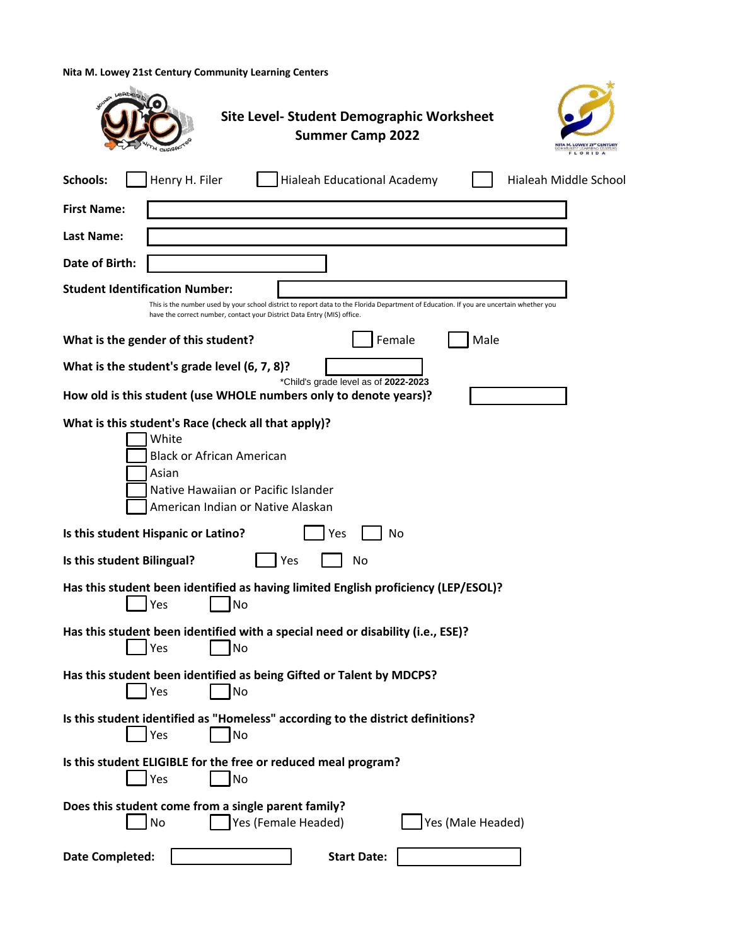**Nita M. Lowey 21st Century Community Learning Centers**

| <b>Site Level- Student Demographic Worksheet</b><br><b>Summer Camp 2022</b><br>NITA M. LOWEY 21 <sup>st</sup> CENTURY<br>FLORIDA                                                                                                                            |
|-------------------------------------------------------------------------------------------------------------------------------------------------------------------------------------------------------------------------------------------------------------|
| <b>Schools:</b><br>Henry H. Filer<br>Hialeah Educational Academy<br>Hialeah Middle School                                                                                                                                                                   |
| <b>First Name:</b>                                                                                                                                                                                                                                          |
| Last Name:                                                                                                                                                                                                                                                  |
| Date of Birth:                                                                                                                                                                                                                                              |
| <b>Student Identification Number:</b><br>This is the number used by your school district to report data to the Florida Department of Education. If you are uncertain whether you<br>have the correct number, contact your District Data Entry (MIS) office. |
| Female<br>Male<br>What is the gender of this student?                                                                                                                                                                                                       |
| What is the student's grade level (6, 7, 8)?                                                                                                                                                                                                                |
| *Child's grade level as of 2022-2023<br>How old is this student (use WHOLE numbers only to denote years)?                                                                                                                                                   |
| What is this student's Race (check all that apply)?<br>White<br><b>Black or African American</b><br>Asian<br>Native Hawaiian or Pacific Islander<br>American Indian or Native Alaskan                                                                       |
| Is this student Hispanic or Latino?<br>Yes<br>No                                                                                                                                                                                                            |
| Is this student Bilingual?<br>Yes<br>No                                                                                                                                                                                                                     |
| Has this student been identified as having limited English proficiency (LEP/ESOL)?<br>Yes<br>No                                                                                                                                                             |
| Has this student been identified with a special need or disability (i.e., ESE)?<br>Yes<br>No                                                                                                                                                                |
| Has this student been identified as being Gifted or Talent by MDCPS?<br>Yes<br>No                                                                                                                                                                           |
| Is this student identified as "Homeless" according to the district definitions?<br>Yes<br>No                                                                                                                                                                |
| Is this student ELIGIBLE for the free or reduced meal program?<br>Yes<br>No                                                                                                                                                                                 |
| Does this student come from a single parent family?<br>Yes (Male Headed)<br>Yes (Female Headed)<br>No                                                                                                                                                       |
| <b>Date Completed:</b><br><b>Start Date:</b>                                                                                                                                                                                                                |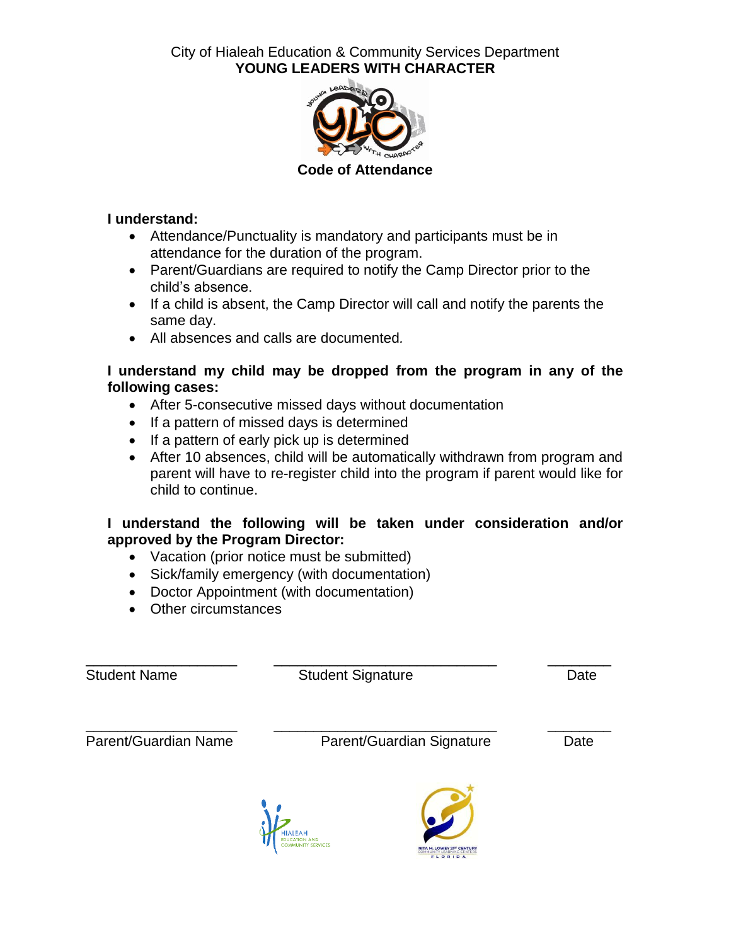City of Hialeah Education & Community Services Department **YOUNG LEADERS WITH CHARACTER**



### **I understand:**

- Attendance/Punctuality is mandatory and participants must be in attendance for the duration of the program.
- Parent/Guardians are required to notify the Camp Director prior to the child's absence.
- If a child is absent, the Camp Director will call and notify the parents the same day.
- All absences and calls are documented*.*

#### **I understand my child may be dropped from the program in any of the following cases:**

- After 5-consecutive missed days without documentation
- If a pattern of missed days is determined
- If a pattern of early pick up is determined
- After 10 absences, child will be automatically withdrawn from program and parent will have to re-register child into the program if parent would like for child to continue.

### **I understand the following will be taken under consideration and/or approved by the Program Director:**

- Vacation (prior notice must be submitted)
- Sick/family emergency (with documentation)
- Doctor Appointment (with documentation)
- Other circumstances

| <b>Student Name</b>  | <b>Student Signature</b>   | Date |
|----------------------|----------------------------|------|
| Parent/Guardian Name | Parent/Guardian Signature  | Date |
|                      | NITA M. LOWEY 21ST CENTURY |      |

**NITA M. LOWEY 21<sup>57</sup> CENTURY**<br>COMMUNITY LEARNING CENTERS<br>F L O R I D A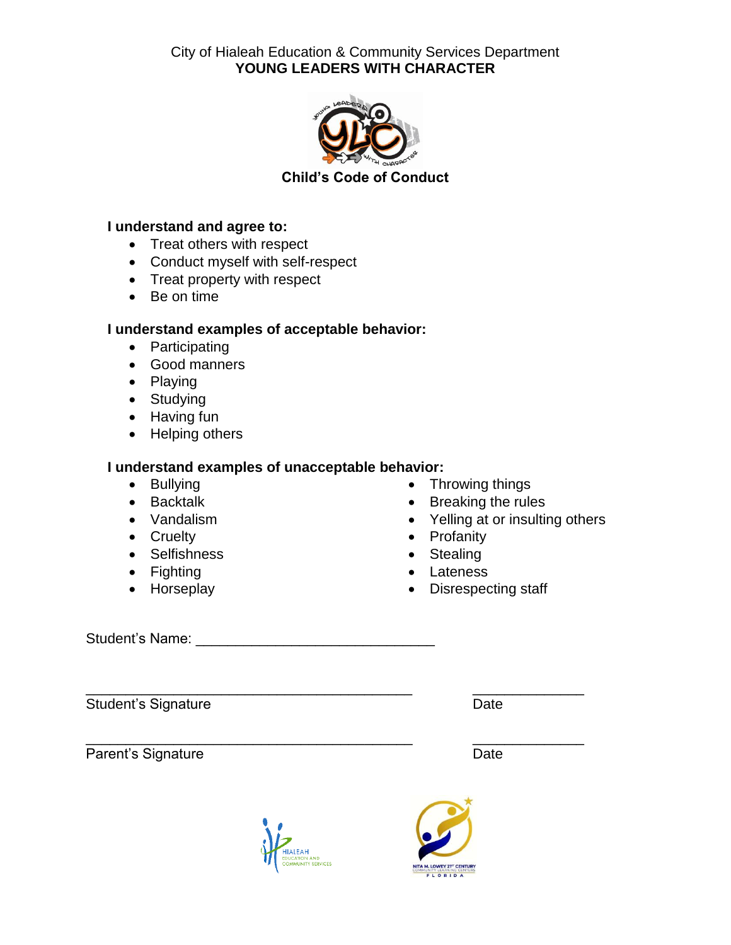City of Hialeah Education & Community Services Department **YOUNG LEADERS WITH CHARACTER**



**Child's Code of Conduct**

### **I understand and agree to:**

- Treat others with respect
- Conduct myself with self-respect
- Treat property with respect
- Be on time

## **I understand examples of acceptable behavior:**

- Participating
- Good manners
- Playing
- Studying
- Having fun
- Helping others

### **I understand examples of unacceptable behavior:**

- Bullying
- Backtalk
- Vandalism
- Cruelty
- Selfishness
- Fighting
- Horseplay
- Throwing things
- Breaking the rules
- Yelling at or insulting others
- Profanity
- Stealing
- Lateness
- Disrespecting staff

Student's Name: **Example 2018** 

Student's Signature **Date** Date **Date** 

Parent's Signature **Date** Date



\_\_\_\_\_\_\_\_\_\_\_\_\_\_\_\_\_\_\_\_\_\_\_\_\_\_\_\_\_\_\_\_\_\_\_\_\_\_\_\_\_ \_\_\_\_\_\_\_\_\_\_\_\_\_\_



\_\_\_\_\_\_\_\_\_\_\_\_\_\_\_\_\_\_\_\_\_\_\_\_\_\_\_\_\_\_\_\_\_\_\_\_\_\_\_\_\_ \_\_\_\_\_\_\_\_\_\_\_\_\_\_